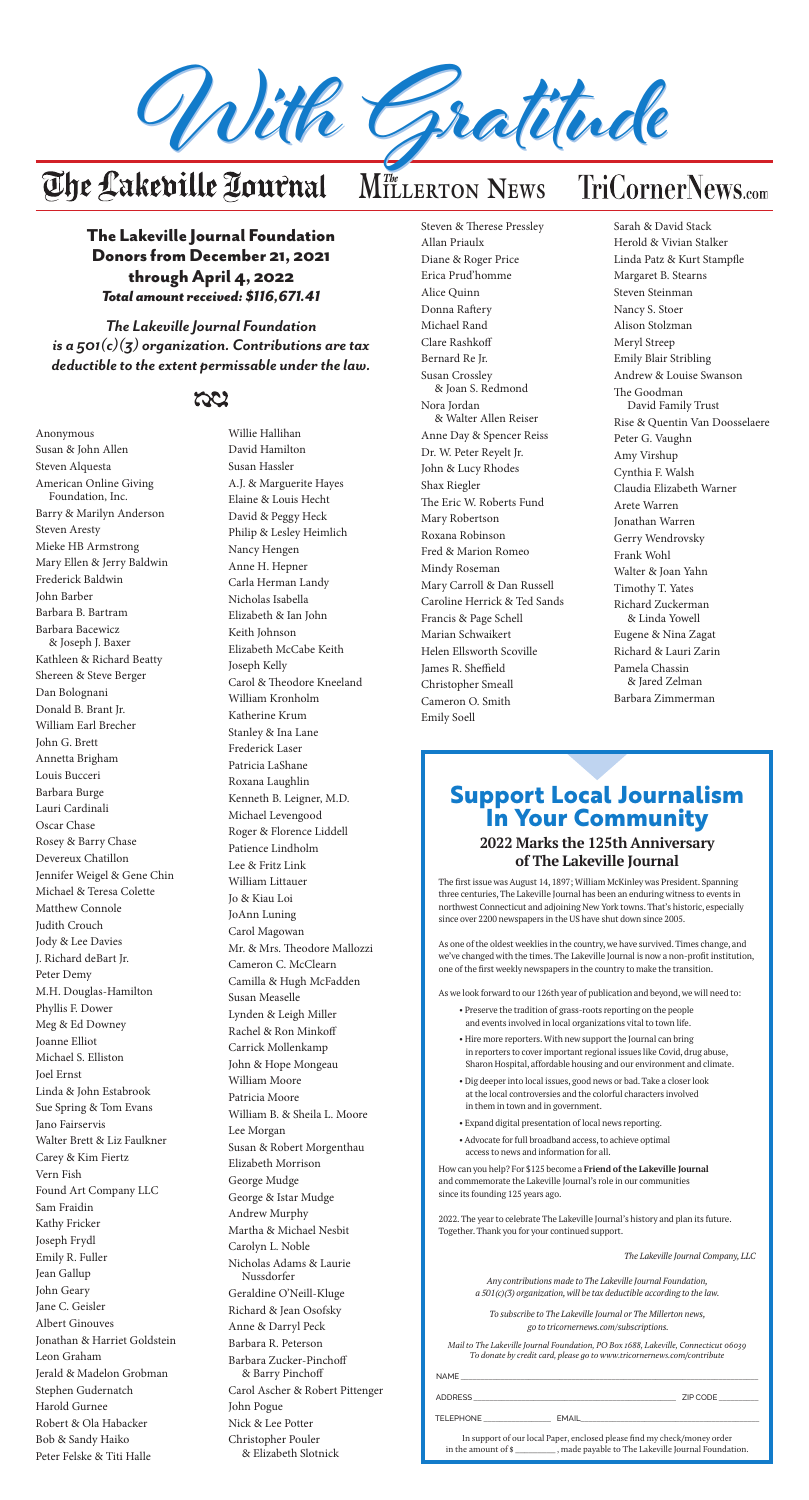### The Lakeville Journal Foundation Donors from December 21, 2021 through April 4, 2022 *Total amount received: \$116,671.41*

*The Lakeville Journal Foundation is a 501(c)(3) organization. Contributions are tax deductible to the extent permissable under the law.*

## ದಿಲ



# $M$ *The* LERTON NEWS

Anonymous Susan & John Allen Steven Alquesta American Online Giving Foundation, Inc. Barry & Marilyn Anderson Steven Aresty Mieke HB Armstrong Mary Ellen & Jerry Baldwin Frederick Baldwin John Barber Barbara B. Bartram Barbara Bacewicz & Joseph J. Baxer Kathleen & Richard Beatty Shereen & Steve Berger Dan Bolognani Donald B. Brant Jr. William Earl Brecher John G. Brett Annetta Brigham Louis Bucceri Barbara Burge Lauri Cardinali Oscar Chase Rosey & Barry Chase Devereux Chatillon Jennifer Weigel & Gene Chin Michael & Teresa Colette Matthew Connole Judith Crouch Jody & Lee Davies J. Richard deBart Jr. Peter Demy M.H. Douglas-Hamilton Phyllis F. Dower Meg & Ed Downey Joanne Elliot Michael S. Elliston Joel Ernst Linda & John Estabrook Sue Spring & Tom Evans Jano Fairservis Walter Brett & Liz Faulkner Carey & Kim Fiertz Vern Fish Found Art Company LLC Sam Fraidin Kathy Fricker Joseph Frydl Emily R. Fuller Jean Gallup John Geary Jane C. Geisler Albert Ginouves Jonathan & Harriet Goldstein Leon Graham Jerald & Madelon Grobman Stephen Gudernatch Harold Gurnee Robert & Ola Habacker Bob & Sandy Haiko Peter Felske & Titi Halle

Willie Hallihan David Hamilton Susan Hassler A.J. & Marguerite Hayes Elaine & Louis Hecht David & Peggy Heck Philip & Lesley Heimlich Nancy Hengen Anne H. Hepner Carla Herman Landy Nicholas Isabella Elizabeth & Ian John Keith Johnson Elizabeth McCabe Keith Joseph Kelly Carol & Theodore Kneeland William Kronholm Katherine Krum Stanley & Ina Lane Frederick Laser Patricia LaShane Roxana Laughlin Kenneth B. Leigner, M.D. Michael Levengood Roger & Florence Liddell Patience Lindholm Lee & Fritz Link William Littauer Jo & Kiau Loi JoAnn Luning Carol Magowan Mr. & Mrs. Theodore Mallozzi Cameron C. McClearn Camilla & Hugh McFadden Susan Measelle Lynden & Leigh Miller Rachel & Ron Minkoff Carrick Mollenkamp John & Hope Mongeau William Moore Patricia Moore William B. & Sheila L. Moore Lee Morgan Susan & Robert Morgenthau Elizabeth Morrison George Mudge George & Istar Mudge Andrew Murphy Martha & Michael Nesbit Carolyn L. Noble Nicholas Adams & Laurie Nussdorfer Geraldine O'Neill-Kluge Richard & Jean Osofsky Anne & Darryl Peck Barbara R. Peterson Barbara Zucker-Pinchoff & Barry Pinchoff Carol Ascher & Robert Pittenger John Pogue Nick & Lee Potter Christopher Pouler & Elizabeth Slotnick

**The Windows** Steven & Therese Pressley Allan Priaulx Diane & Roger Price Erica Prud'homme Alice Quinn Donna Raftery Michael Rand Clare Rashkoff Bernard Re Jr. Susan Crossley & Joan S. Redmond Nora Jordan & Walter Allen Reiser Anne Day & Spencer Reiss Dr. W. Peter Reyelt Jr. John & Lucy Rhodes Shax Riegler The Eric W. Roberts Fund Mary Robertson Roxana Robinson Fred & Marion Romeo Mindy Roseman Mary Carroll & Dan Russell Caroline Herrick & Ted Sands Francis & Page Schell Marian Schwaikert Helen Ellsworth Scoville James R. Sheffield Christopher Smeall Cameron O. Smith Emily Soell

> The first issue was August 14, 1897; William McKinley was President. Spanning three centuries, The Lakeville Journal has been an enduring witness to events in northwest Connecticut and adjoining New York towns. That's historic, especially since over 2200 newspapers in the US have shut down since 2005.

As one of the oldest weeklies in the country, we have survived. Times change, and we've changed with the times. The Lakeville Journal is now a non-profit institution, one of the first weekly newspapers in the country to make the transition.

As we look forward to our 126th year of publication and beyond, we will need to:

- Preserve the tradition of grass-roots reporting on the people and events involved in local organizations vital to town life.
- Hire more reporters. With new support the Journal can bring in reporters to cover important regional issues like Covid, drug abuse, Sharon Hospital, affordable housing and our environment and climate.
- Dig deeper into local issues, good news or bad. Take a closer look at the local controversies and the colorful characters involved in them in town and in government.
- Expand digital presentation of local news reporting.
- Advocate for full broadband access, to achieve optimal access to news and information for all.

How can you help? For \$125 become a **Friend of the Lakeville Journal** and commemorate the Lakeville Journal's role in our communities since its founding 125 years ago.

2022. The year to celebrate The Lakeville Journal's history and plan its future. Together. Thank you for your continued support.

*The Lakeville Journal Company, LLC*

*Any contributions made to The Lakeville Journal Foundation, a 501(c)(3) organization, will be tax deductible according to the law.*

*To subscribe to The Lakeville Journal or The Millerton news, go to tricornernews.com/subscriptions.*

*Mail to The Lakeville Journal Foundation, PO Box 1688, Lakeville, Connecticut 06039 To donate by credit card, please go to www.tricornernews.com/contribute*

| <b>NAME</b>    |          |  |
|----------------|----------|--|
| <b>ADDRESS</b> | ZIP CODE |  |
|                |          |  |

TELEPHONE **\_\_\_\_\_\_\_\_\_\_\_\_\_\_\_\_\_** EMAIL**\_\_\_\_\_\_\_\_\_\_\_\_\_\_\_\_\_\_\_\_\_\_\_\_\_\_\_\_\_\_\_\_\_\_\_\_\_\_\_\_\_\_\_\_\_**

In support of our local Paper, enclosed please find my check/money order in the amount of \$ **\_\_\_\_\_\_\_\_\_** , made payable to The Lakeville Journal Foundation.

## **Support Local Journalism In Your Community**

### **2022 Marks the 125th Anniversary of The Lakeville Journal**

Sarah & David Stack Herold & Vivian Stalker Linda Patz & Kurt Stampfle Margaret B. Stearns Steven Steinman Nancy S. Stoer Alison Stolzman Meryl Streep Emily Blair Stribling Andrew & Louise Swanson The Goodman David Family Trust Rise & Quentin Van Doosselaere Peter G. Vaughn Amy Virshup Cynthia F. Walsh Claudia Elizabeth Warner Arete Warren Jonathan Warren Gerry Wendrovsky Frank Wohl Walter & Joan Yahn Timothy T. Yates Richard Zuckerman & Linda Yowell Eugene & Nina Zagat Richard & Lauri Zarin Pamela Chassin & Jared Zelman Barbara Zimmerman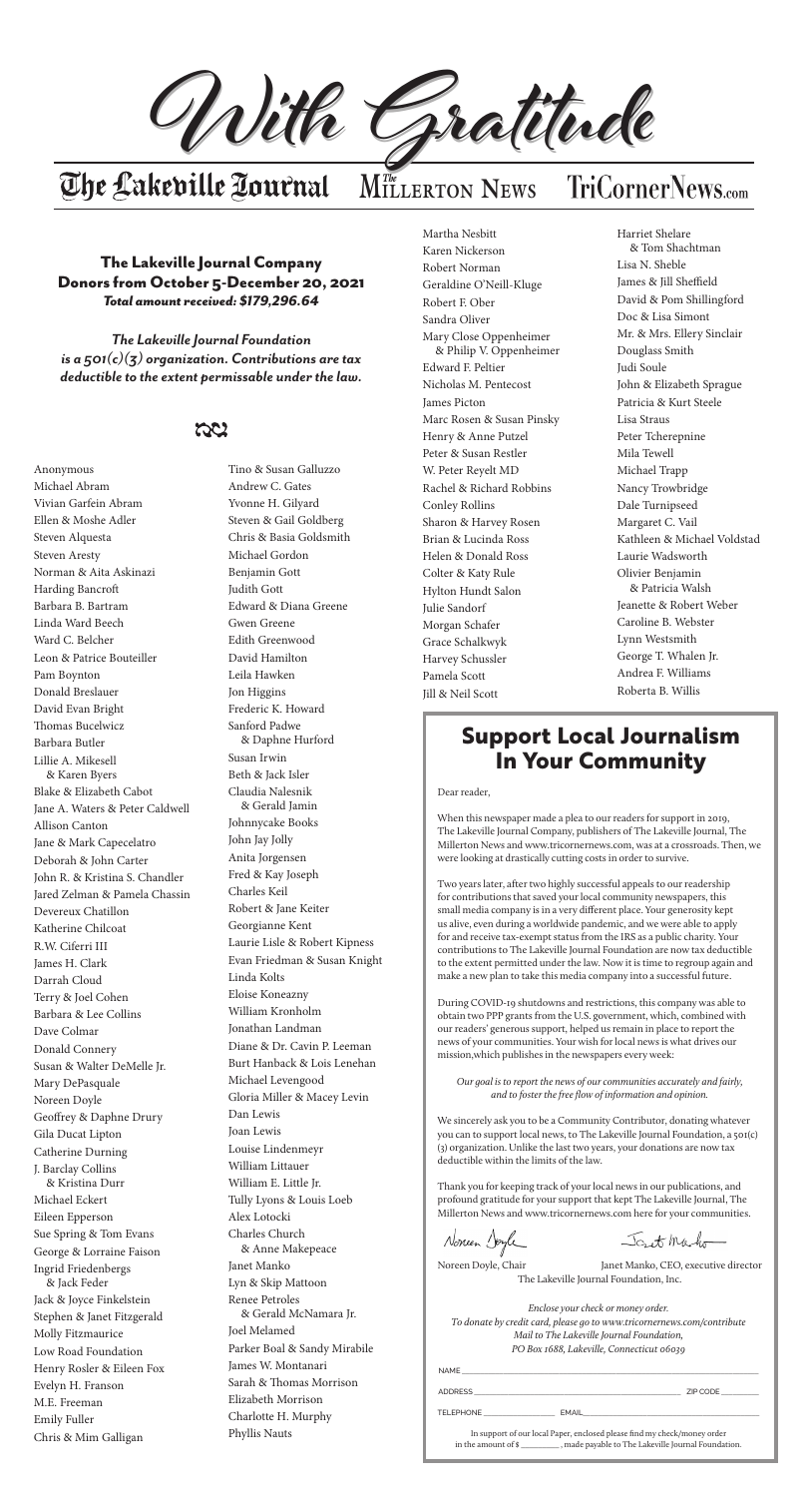The Lakeville Journal Company Donors from October 5-December 20, 2021 *Total amount received: \$179,296.64*

*The Lakeville Journal Foundation is a 501(c)(3) organization. Contributions are tax deductible to the extent permissable under the law.*





# $M$ *The* LERTON **NEWS**

Anonymous Michael Abram Vivian Garfein Abram Ellen & Moshe Adler Steven Alquesta Steven Aresty Norman & Aita Askinazi Harding Bancroft Barbara B. Bartram Linda Ward Beech Ward C. Belcher Leon & Patrice Bouteiller Pam Boynton Donald Breslauer David Evan Bright Thomas Bucelwicz Barbara Butler Lillie A. Mikesell & Karen Byers Blake & Elizabeth Cabot Jane A. Waters & Peter Caldwell Allison Canton Jane & Mark Capecelatro Deborah & John Carter John R. & Kristina S. Chandler Jared Zelman & Pamela Chassin Devereux Chatillon Katherine Chilcoat R.W. Ciferri III James H. Clark Darrah Cloud Terry & Joel Cohen Barbara & Lee Collins Dave Colmar Donald Connery Susan & Walter DeMelle Jr. Mary DePasquale Noreen Doyle Geoffrey & Daphne Drury Gila Ducat Lipton Catherine Durning J. Barclay Collins & Kristina Durr Michael Eckert Eileen Epperson Sue Spring & Tom Evans George & Lorraine Faison Ingrid Friedenbergs & Jack Feder Jack & Joyce Finkelstein Stephen & Janet Fitzgerald Molly Fitzmaurice Low Road Foundation Henry Rosler & Eileen Fox Evelyn H. Franson M.E. Freeman Emily Fuller Chris & Mim Galligan

The Winsted Journal of the Winsted Journal of the Winsted Journal of the Winsted Journal of the Winsted Journal of the Winsted Journal of the Winsted Journal of the Winsted Journal of the Winsted Journal of the Winsted Jou Martha Nesbitt Karen Nickerson Robert Norman Geraldine O'Neill-Kluge Robert F. Ober Sandra Oliver Mary Close Oppenheimer & Philip V. Oppenheimer Edward F. Peltier Nicholas M. Pentecost James Picton Marc Rosen & Susan Pinsky Henry & Anne Putzel Peter & Susan Restler W. Peter Reyelt MD Rachel & Richard Robbins Conley Rollins Sharon & Harvey Rosen Brian & Lucinda Ross Helen & Donald Ross Colter & Katy Rule Hylton Hundt Salon Julie Sandorf Morgan Schafer Grace Schalkwyk Harvey Schussler Pamela Scott Jill & Neil Scott

Tino & Susan Galluzzo Andrew C. Gates Yvonne H. Gilyard Steven & Gail Goldberg Chris & Basia Goldsmith Michael Gordon Benjamin Gott Judith Gott Edward & Diana Greene Gwen Greene Edith Greenwood David Hamilton Leila Hawken Jon Higgins Frederic K. Howard Sanford Padwe & Daphne Hurford Susan Irwin Beth & Jack Isler Claudia Nalesnik & Gerald Jamin

Johnnycake Books

John Jay Jolly

Anita Jorgensen Fred & Kay Joseph Charles Keil Robert & Jane Keiter Georgianne Kent Laurie Lisle & Robert Kipness Evan Friedman & Susan Knight Linda Kolts Eloise Koneazny William Kronholm Jonathan Landman Diane & Dr. Cavin P. Leeman Burt Hanback & Lois Lenehan Michael Levengood Gloria Miller & Macey Levin Dan Lewis Joan Lewis Louise Lindenmeyr William Littauer William E. Little Jr. Tully Lyons & Louis Loeb Alex Lotocki Charles Church & Anne Makepeace Janet Manko Lyn & Skip Mattoon Renee Petroles & Gerald McNamara Jr. Joel Melamed Parker Boal & Sandy Mirabile James W. Montanari Sarah & Thomas Morrison Elizabeth Morrison Charlotte H. Murphy Phyllis Nauts

Noreen Doyle, Chair Janet Manko, CEO, executive director The Lakeville Journal Foundation, Inc.

Harriet Shelare & Tom Shachtman Lisa N. Sheble James & Jill Sheffield David & Pom Shillingford Doc & Lisa Simont Mr. & Mrs. Ellery Sinclair Douglass Smith Judi Soule John & Elizabeth Sprague Patricia & Kurt Steele Lisa Straus Peter Tcherepnine Mila Tewell Michael Trapp Nancy Trowbridge Dale Turnipseed Margaret C. Vail Kathleen & Michael Voldstad Laurie Wadsworth Olivier Benjamin & Patricia Walsh Jeanette & Robert Weber Caroline B. Webster Lynn Westsmith George T. Whalen Jr. Andrea F. Williams Roberta B. Willis

## **Support Local Journalism In Your Community**

#### Dear reader,

When this newspaper made a plea to our readers for support in 2019, The Lakeville Journal Company, publishers of The Lakeville Journal, The Millerton News and www.tricornernews.com, was at a crossroads. Then, we

were looking at drastically cutting costs in order to survive.

Two years later, after two highly successful appeals to our readership for contributions that saved your local community newspapers, this small media company is in a very different place. Your generosity kept us alive, even during a worldwide pandemic, and we were able to apply for and receive tax-exempt status from the IRS as a public charity. Your contributions to The Lakeville Journal Foundation are now tax deductible to the extent permitted under the law. Now it is time to regroup again and make a new plan to take this media company into a successful future.

During COVID-19 shutdowns and restrictions, this company was able to obtain two PPP grants from the U.S. government, which, combined with our readers' generous support, helped us remain in place to report the news of your communities. Your wish for local news is what drives our mission,which publishes in the newspapers every week:

*Our goal is to report the news of our communities accurately and fairly, and to foster the free flow of information and opinion.*

We sincerely ask you to be a Community Contributor, donating whatever you can to support local news, to The Lakeville Journal Foundation, a 501(c) (3) organization. Unlike the last two years, your donations are now tax deductible within the limits of the law.

Thank you for keeping track of your local news in our publications, and profound gratitude for your support that kept The Lakeville Journal, The Millerton News and www.tricornernews.com here for your communities.

Noneen Soyle

Joset Maho

*Enclose your check or money order. To donate by credit card, please go to www.tricornernews.com/contribute Mail to The Lakeville Journal Foundation, PO Box 1688, Lakeville, Connecticut 06039*

| NAME                                                                                            |                    |          |
|-------------------------------------------------------------------------------------------------|--------------------|----------|
| ADDRESS                                                                                         |                    | ZIP CODE |
| <b>TELEPHONE</b>                                                                                | EMAIL <b>EMAIL</b> |          |
| In support of our local Paper, enclosed please find my check/money order<br>in the amount of \$ |                    |          |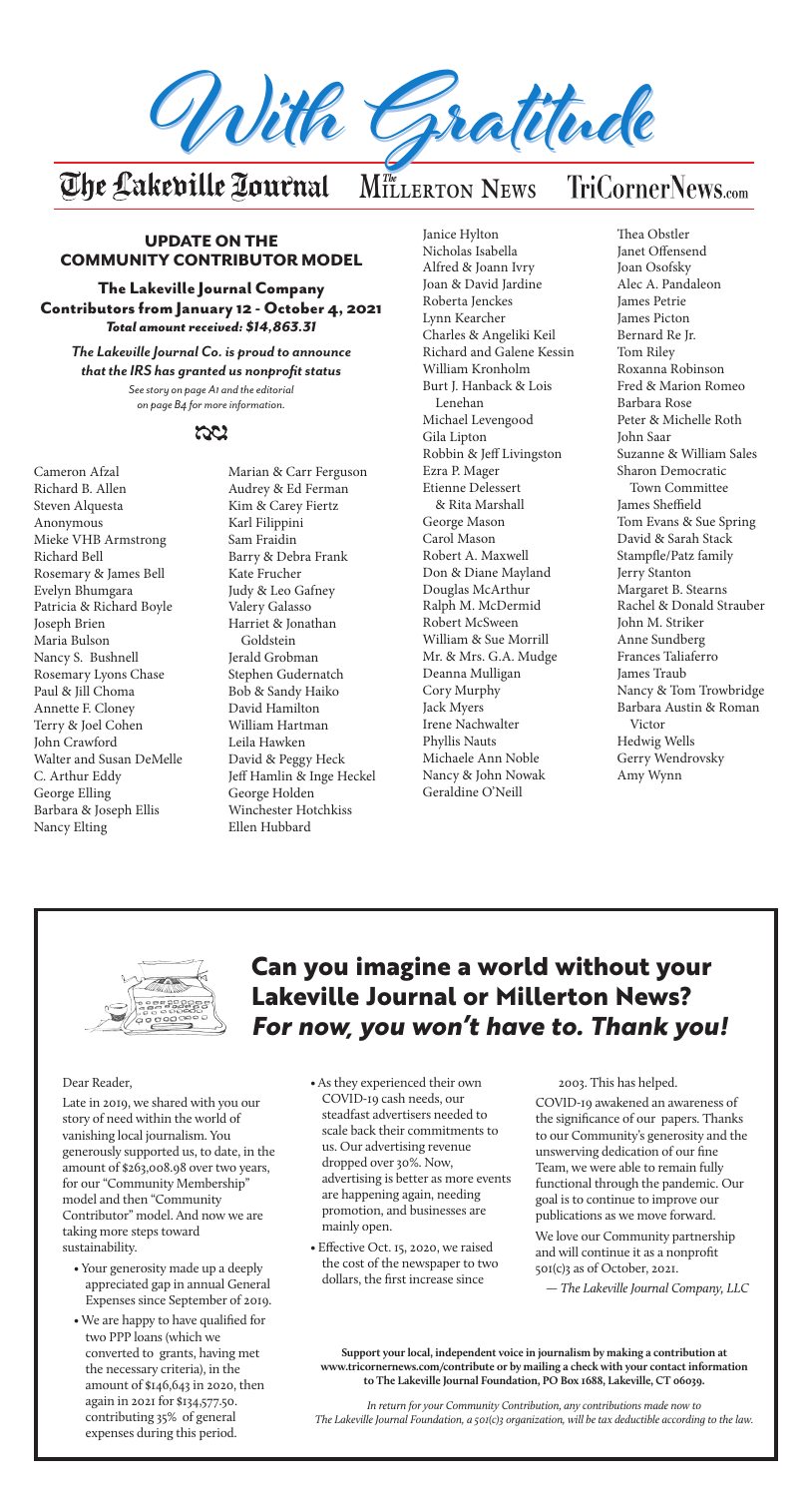

# $M$ *The* LERTON **NEWS**

### UPDATE ON THE COMMUNITY CONTRIBUTOR MODEL

The Lakeville Journal Company Contributors from January 12 - October 4, 2021 *Total amount received: \$14,863.31*

### *The Lakeville Journal Co. is proud to announce that the IRS has granted us nonprofit status*

*See story on page A1 and the editorial on page B4 for more information.*



Cameron Afzal Richard B. Allen Steven Alquesta Anonymous Mieke VHB Armstrong Richard Bell Rosemary & James Bell Evelyn Bhumgara Patricia & Richard Boyle Joseph Brien Maria Bulson Nancy S. Bushnell Rosemary Lyons Chase Paul & Jill Choma Annette F. Cloney Terry & Joel Cohen John Crawford Walter and Susan DeMelle C. Arthur Eddy George Elling Barbara & Joseph Ellis Nancy Elting

The Winsted Journal of the Winsted Journal of the Winsted Journal of the Winsted Journal of the Winsted Journal of the Winsted Journal of the Winsted Journal of the Winsted Journal of the Winsted Journal of the Winsted Jou Janice Hylton Nicholas Isabella Alfred & Joann Ivry Joan & David Jardine Roberta Jenckes Lynn Kearcher Charles & Angeliki Keil Richard and Galene Kessin William Kronholm Burt J. Hanback & Lois Lenehan Michael Levengood Gila Lipton Robbin & Jeff Livingston Ezra P. Mager Etienne Delessert & Rita Marshall George Mason Carol Mason Robert A. Maxwell Don & Diane Mayland Douglas McArthur Ralph M. McDermid Robert McSween William & Sue Morrill Mr. & Mrs. G.A. Mudge Deanna Mulligan Cory Murphy Jack Myers Irene Nachwalter Phyllis Nauts Michaele Ann Noble Nancy & John Nowak Geraldine O'Neill

Marian & Carr Ferguson Audrey & Ed Ferman Kim & Carey Fiertz Karl Filippini Sam Fraidin Barry & Debra Frank Kate Frucher Judy & Leo Gafney Valery Galasso Harriet & Jonathan Goldstein Jerald Grobman Stephen Gudernatch Bob & Sandy Haiko David Hamilton William Hartman Leila Hawken David & Peggy Heck Jeff Hamlin & Inge Heckel George Holden Winchester Hotchkiss Ellen Hubbard

- Your generosity made up a deeply appreciated gap in annual General Expenses since September of 2019.
- We are happy to have qualified for two PPP loans (which we converted to grants, having met the necessary criteria), in the amount of \$146,643 in 2020, then again in 2021 for \$134,577.50. contributing 35% of general expenses during this period.
- As they experienced their own COVID-19 cash needs, our steadfast advertisers needed to scale back their commitments to us. Our advertising revenue dropped over 30%. Now, advertising is better as more events are happening again, needing promotion, and businesses are mainly open.
- Effective Oct. 15, 2020, we raised the cost of the newspaper to two dollars, the first increase since

Thea Obstler Janet Offensend Joan Osofsky Alec A. Pandaleon James Petrie James Picton Bernard Re Jr. Tom Riley Roxanna Robinson Fred & Marion Romeo Barbara Rose Peter & Michelle Roth John Saar Suzanne & William Sales Sharon Democratic Town Committee James Sheffield Tom Evans & Sue Spring David & Sarah Stack Stampfle/Patz family Jerry Stanton Margaret B. Stearns Rachel & Donald Strauber John M. Striker Anne Sundberg Frances Taliaferro James Traub Nancy & Tom Trowbridge Barbara Austin & Roman Victor Hedwig Wells Gerry Wendrovsky Amy Wynn



## **Can you imagine a world without your Lakeville Journal or Millerton News?**  *For now, you won't have to. Thank you!*

**Support your local, independent voice in journalism by making a contribution at www.tricornernews.com/contribute or by mailing a check with your contact information to The Lakeville Journal Foundation, PO Box 1688, Lakeville, CT 06039.**

*In return for your Community Contribution, any contributions made now to The Lakeville Journal Foundation, a 501(c)3 organization, will be tax deductible according to the law.*

Dear Reader,

Late in 2019, we shared with you our story of need within the world of vanishing local journalism. You generously supported us, to date, in the amount of \$263,008.98 over two years, for our "Community Membership" model and then "Community Contributor" model. And now we are taking more steps toward sustainability.

2003. This has helped.

COVID-19 awakened an awareness of the significance of our papers. Thanks to our Community's generosity and the unswerving dedication of our fine Team, we were able to remain fully functional through the pandemic. Our goal is to continue to improve our publications as we move forward.

We love our Community partnership and will continue it as a nonprofit 501(c)3 as of October, 2021.

*— The Lakeville Journal Company, LLC*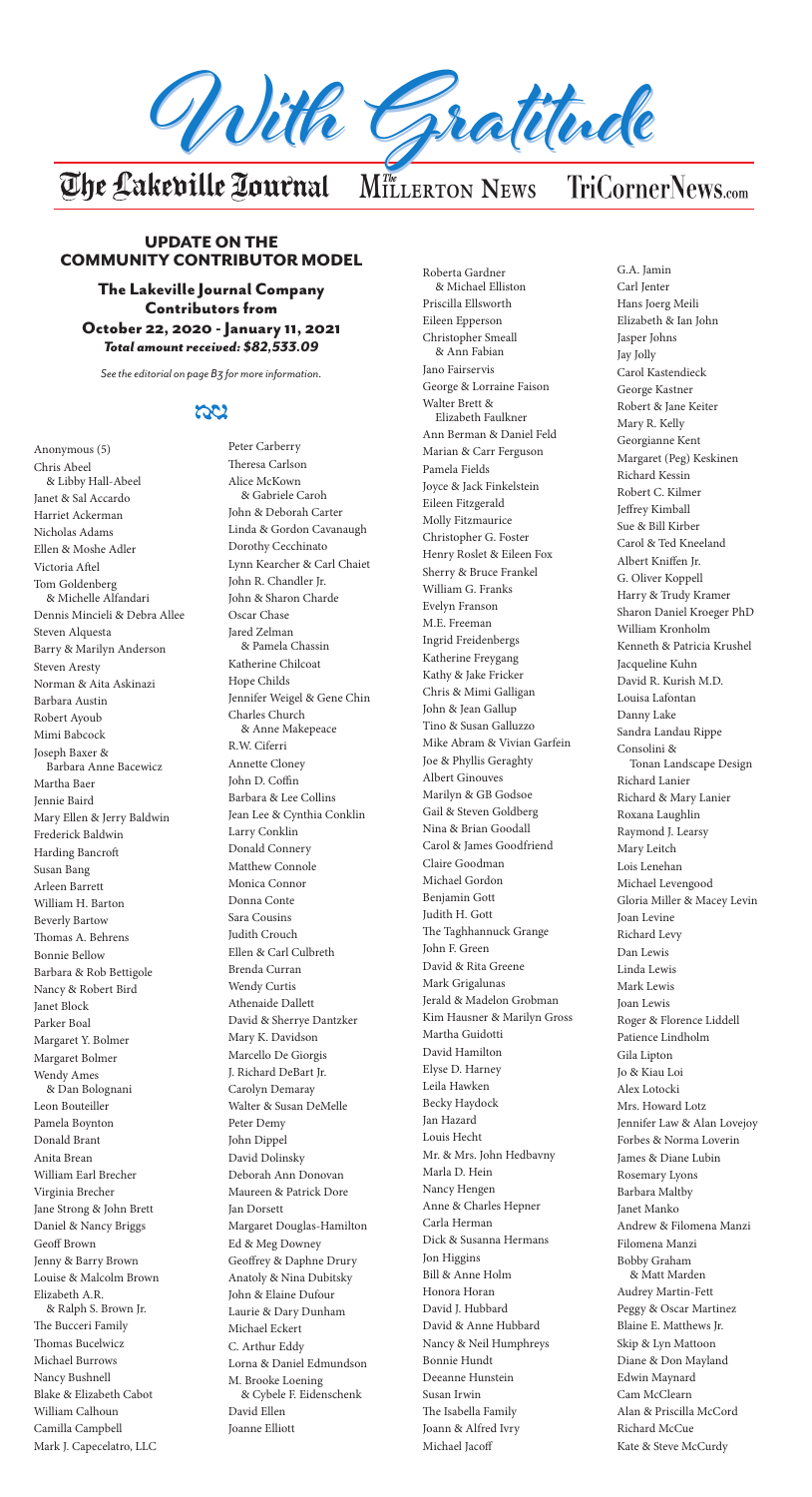## UPDATE ON THE COMMUNITY CONTRIBUTOR MODEL

The Lakeville Journal Company Contributors from October 22, 2020 - January 11, 2021 *Total amount received: \$82,533.09*

*See the editorial on page B3 for more information.*

## ದಿರ



The Winsted Journal of the Winsted Journal of the Winsted Journal of the Winsted Journal of the Winsted Journal of the Winsted Journal of the Winsted Journal of the Winsted Journal of the Winsted Journal of the Winsted Jou

# $M$ *The* LERTON **NEWS**

Anonymous (5) Chris Abeel & Libby Hall-Abeel Janet & Sal Accardo Harriet Ackerman Nicholas Adams Ellen & Moshe Adler Victoria Aftel Tom Goldenberg & Michelle Alfandari Dennis Mincieli & Debra Allee Steven Alquesta Barry & Marilyn Anderson Steven Aresty Norman & Aita Askinazi Barbara Austin Robert Ayoub Mimi Babcock Joseph Baxer & Barbara Anne Bacewicz Martha Baer Jennie Baird Mary Ellen & Jerry Baldwin Frederick Baldwin Harding Bancroft Susan Bang Arleen Barrett William H. Barton Beverly Bartow Thomas A. Behrens Bonnie Bellow Barbara & Rob Bettigole Nancy & Robert Bird Janet Block Parker Boal Margaret Y. Bolmer Margaret Bolmer Wendy Ames & Dan Bolognani Leon Bouteiller Pamela Boynton Donald Brant Anita Brean William Earl Brecher Virginia Brecher Jane Strong & John Brett Daniel & Nancy Briggs Geoff Brown Jenny & Barry Brown Louise & Malcolm Brown Elizabeth A.R. & Ralph S. Brown Jr. The Bucceri Family Thomas Bucelwicz Michael Burrows Nancy Bushnell Blake & Elizabeth Cabot William Calhoun Camilla Campbell

Mark J. Capecelatro, LLC

Peter Carberry Theresa Carlson Alice McKown & Gabriele Caroh John & Deborah Carter Linda & Gordon Cavanaugh Dorothy Cecchinato Lynn Kearcher & Carl Chaiet John R. Chandler Jr. John & Sharon Charde Oscar Chase Jared Zelman & Pamela Chassin Katherine Chilcoat Hope Childs Jennifer Weigel & Gene Chin Charles Church & Anne Makepeace R.W. Ciferri Annette Cloney John D. Coffin Barbara & Lee Collins Jean Lee & Cynthia Conklin Larry Conklin Donald Connery Matthew Connole Monica Connor Donna Conte Sara Cousins Judith Crouch Ellen & Carl Culbreth Brenda Curran Wendy Curtis Athenaide Dallett David & Sherrye Dantzker Mary K. Davidson Marcello De Giorgis J. Richard DeBart Jr. Carolyn Demaray Walter & Susan DeMelle Peter Demy John Dippel David Dolinsky Deborah Ann Donovan Maureen & Patrick Dore Jan Dorsett Margaret Douglas-Hamilton Ed & Meg Downey Geoffrey & Daphne Drury Anatoly & Nina Dubitsky John & Elaine Dufour Laurie & Dary Dunham Michael Eckert C. Arthur Eddy Lorna & Daniel Edmundson M. Brooke Loening & Cybele F. Eidenschenk David Ellen Joanne Elliott

Roberta Gardner & Michael Elliston Priscilla Ellsworth Eileen Epperson Christopher Smeall & Ann Fabian Jano Fairservis George & Lorraine Faison Walter Brett & Elizabeth Faulkner Ann Berman & Daniel Feld Marian & Carr Ferguson Pamela Fields Joyce & Jack Finkelstein Eileen Fitzgerald Molly Fitzmaurice Christopher G. Foster Henry Roslet & Eileen Fox Sherry & Bruce Frankel William G. Franks Evelyn Franson M.E. Freeman Ingrid Freidenbergs Katherine Freygang Kathy & Jake Fricker Chris & Mimi Galligan John & Jean Gallup Tino & Susan Galluzzo Mike Abram & Vivian Garfein Joe & Phyllis Geraghty Albert Ginouves Marilyn & GB Godsoe Gail & Steven Goldberg Nina & Brian Goodall Carol & James Goodfriend Claire Goodman Michael Gordon Benjamin Gott Judith H. Gott The Taghhannuck Grange John F. Green David & Rita Greene Mark Grigalunas Jerald & Madelon Grobman Kim Hausner & Marilyn Gross Martha Guidotti David Hamilton Elyse D. Harney Leila Hawken Becky Haydock Jan Hazard Louis Hecht Mr. & Mrs. John Hedbavny Marla D. Hein Nancy Hengen Anne & Charles Hepner Carla Herman Dick & Susanna Hermans Jon Higgins Bill & Anne Holm Honora Horan David J. Hubbard David & Anne Hubbard Nancy & Neil Humphreys Bonnie Hundt Deeanne Hunstein Susan Irwin The Isabella Family Joann & Alfred Ivry Michael Jacoff

G.A. Jamin Carl Jenter Hans Joerg Meili Elizabeth & Ian John Jasper Johns Jay Jolly Carol Kastendieck George Kastner Robert & Jane Keiter Mary R. Kelly Georgianne Kent Margaret (Peg) Keskinen Richard Kessin Robert C. Kilmer Jeffrey Kimball Sue & Bill Kirber Carol & Ted Kneeland Albert Kniffen Jr. G. Oliver Koppell Harry & Trudy Kramer Sharon Daniel Kroeger PhD William Kronholm Kenneth & Patricia Krushel Jacqueline Kuhn David R. Kurish M.D. Louisa Lafontan Danny Lake Sandra Landau Rippe Consolini & Tonan Landscape Design Richard Lanier Richard & Mary Lanier Roxana Laughlin Raymond J. Learsy Mary Leitch Lois Lenehan Michael Levengood Gloria Miller & Macey Levin Joan Levine Richard Levy Dan Lewis Linda Lewis Mark Lewis Joan Lewis Roger & Florence Liddell Patience Lindholm Gila Lipton Jo & Kiau Loi Alex Lotocki Mrs. Howard Lotz Jennifer Law & Alan Lovejoy Forbes & Norma Loverin James & Diane Lubin Rosemary Lyons Barbara Maltby Janet Manko Andrew & Filomena Manzi Filomena Manzi Bobby Graham & Matt Marden Audrey Martin-Fett Peggy & Oscar Martinez Blaine E. Matthews Jr. Skip & Lyn Mattoon Diane & Don Mayland Edwin Maynard Cam McClearn Alan & Priscilla McCord Richard McCue Kate & Steve McCurdy